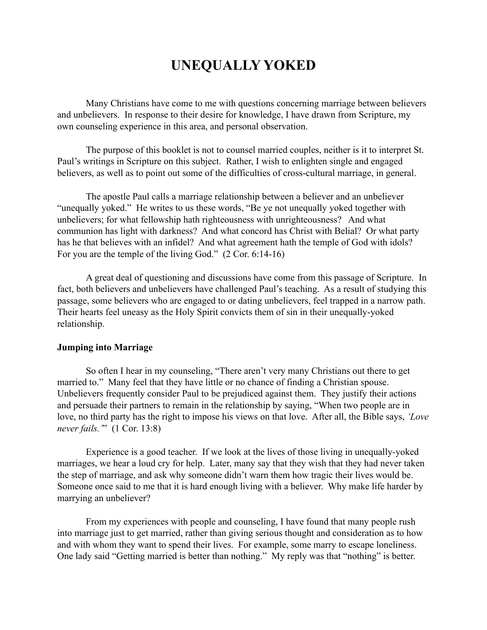# **UNEQUALLY YOKED**

Many Christians have come to me with questions concerning marriage between believers and unbelievers. In response to their desire for knowledge, I have drawn from Scripture, my own counseling experience in this area, and personal observation.

The purpose of this booklet is not to counsel married couples, neither is it to interpret St. Paul's writings in Scripture on this subject. Rather, I wish to enlighten single and engaged believers, as well as to point out some of the difficulties of cross-cultural marriage, in general.

The apostle Paul calls a marriage relationship between a believer and an unbeliever "unequally yoked." He writes to us these words, "Be ye not unequally yoked together with unbelievers; for what fellowship hath righteousness with unrighteousness? And what communion has light with darkness? And what concord has Christ with Belial? Or what party has he that believes with an infidel? And what agreement hath the temple of God with idols? For you are the temple of the living God." (2 Cor. 6:14-16)

A great deal of questioning and discussions have come from this passage of Scripture. In fact, both believers and unbelievers have challenged Paul's teaching. As a result of studying this passage, some believers who are engaged to or dating unbelievers, feel trapped in a narrow path. Their hearts feel uneasy as the Holy Spirit convicts them of sin in their unequally-yoked relationship.

# **Jumping into Marriage**

So often I hear in my counseling, "There aren't very many Christians out there to get married to." Many feel that they have little or no chance of finding a Christian spouse. Unbelievers frequently consider Paul to be prejudiced against them. They justify their actions and persuade their partners to remain in the relationship by saying, "When two people are in love, no third party has the right to impose his views on that love. After all, the Bible says, *'Love never fails.'*" (1 Cor. 13:8)

Experience is a good teacher. If we look at the lives of those living in unequally-yoked marriages, we hear a loud cry for help. Later, many say that they wish that they had never taken the step of marriage, and ask why someone didn't warn them how tragic their lives would be. Someone once said to me that it is hard enough living with a believer. Why make life harder by marrying an unbeliever?

From my experiences with people and counseling, I have found that many people rush into marriage just to get married, rather than giving serious thought and consideration as to how and with whom they want to spend their lives. For example, some marry to escape loneliness. One lady said "Getting married is better than nothing." My reply was that "nothing" is better.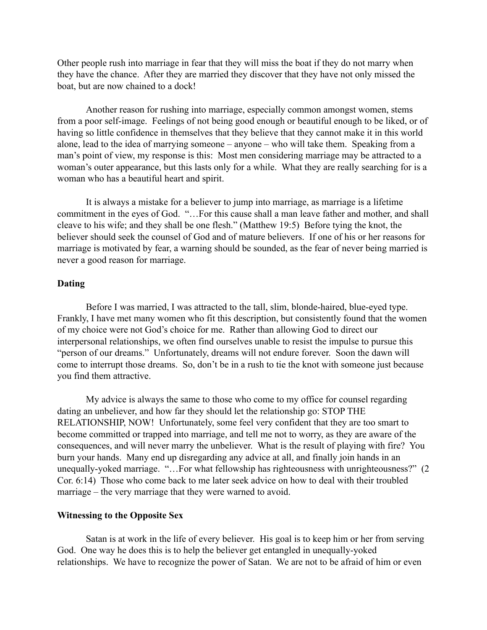Other people rush into marriage in fear that they will miss the boat if they do not marry when they have the chance. After they are married they discover that they have not only missed the boat, but are now chained to a dock!

Another reason for rushing into marriage, especially common amongst women, stems from a poor self-image. Feelings of not being good enough or beautiful enough to be liked, or of having so little confidence in themselves that they believe that they cannot make it in this world alone, lead to the idea of marrying someone – anyone – who will take them. Speaking from a man's point of view, my response is this: Most men considering marriage may be attracted to a woman's outer appearance, but this lasts only for a while. What they are really searching for is a woman who has a beautiful heart and spirit.

It is always a mistake for a believer to jump into marriage, as marriage is a lifetime commitment in the eyes of God. "…For this cause shall a man leave father and mother, and shall cleave to his wife; and they shall be one flesh." (Matthew 19:5) Before tying the knot, the believer should seek the counsel of God and of mature believers. If one of his or her reasons for marriage is motivated by fear, a warning should be sounded, as the fear of never being married is never a good reason for marriage.

## **Dating**

Before I was married, I was attracted to the tall, slim, blonde-haired, blue-eyed type. Frankly, I have met many women who fit this description, but consistently found that the women of my choice were not God's choice for me. Rather than allowing God to direct our interpersonal relationships, we often find ourselves unable to resist the impulse to pursue this "person of our dreams." Unfortunately, dreams will not endure forever. Soon the dawn will come to interrupt those dreams. So, don't be in a rush to tie the knot with someone just because you find them attractive.

My advice is always the same to those who come to my office for counsel regarding dating an unbeliever, and how far they should let the relationship go: STOP THE RELATIONSHIP, NOW! Unfortunately, some feel very confident that they are too smart to become committed or trapped into marriage, and tell me not to worry, as they are aware of the consequences, and will never marry the unbeliever. What is the result of playing with fire? You burn your hands. Many end up disregarding any advice at all, and finally join hands in an unequally-yoked marriage. "…For what fellowship has righteousness with unrighteousness?" (2 Cor. 6:14) Those who come back to me later seek advice on how to deal with their troubled marriage – the very marriage that they were warned to avoid.

#### **Witnessing to the Opposite Sex**

Satan is at work in the life of every believer. His goal is to keep him or her from serving God. One way he does this is to help the believer get entangled in unequally-yoked relationships. We have to recognize the power of Satan. We are not to be afraid of him or even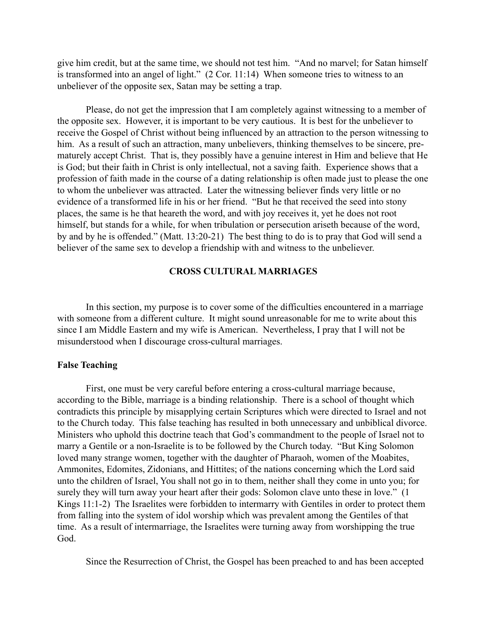give him credit, but at the same time, we should not test him. "And no marvel; for Satan himself is transformed into an angel of light." (2 Cor. 11:14) When someone tries to witness to an unbeliever of the opposite sex, Satan may be setting a trap.

Please, do not get the impression that I am completely against witnessing to a member of the opposite sex. However, it is important to be very cautious. It is best for the unbeliever to receive the Gospel of Christ without being influenced by an attraction to the person witnessing to him. As a result of such an attraction, many unbelievers, thinking themselves to be sincere, prematurely accept Christ. That is, they possibly have a genuine interest in Him and believe that He is God; but their faith in Christ is only intellectual, not a saving faith. Experience shows that a profession of faith made in the course of a dating relationship is often made just to please the one to whom the unbeliever was attracted. Later the witnessing believer finds very little or no evidence of a transformed life in his or her friend. "But he that received the seed into stony places, the same is he that heareth the word, and with joy receives it, yet he does not root himself, but stands for a while, for when tribulation or persecution ariseth because of the word, by and by he is offended." (Matt. 13:20-21) The best thing to do is to pray that God will send a believer of the same sex to develop a friendship with and witness to the unbeliever.

# **CROSS CULTURAL MARRIAGES**

In this section, my purpose is to cover some of the difficulties encountered in a marriage with someone from a different culture. It might sound unreasonable for me to write about this since I am Middle Eastern and my wife is American. Nevertheless, I pray that I will not be misunderstood when I discourage cross-cultural marriages.

#### **False Teaching**

First, one must be very careful before entering a cross-cultural marriage because, according to the Bible, marriage is a binding relationship. There is a school of thought which contradicts this principle by misapplying certain Scriptures which were directed to Israel and not to the Church today. This false teaching has resulted in both unnecessary and unbiblical divorce. Ministers who uphold this doctrine teach that God's commandment to the people of Israel not to marry a Gentile or a non-Israelite is to be followed by the Church today. "But King Solomon loved many strange women, together with the daughter of Pharaoh, women of the Moabites, Ammonites, Edomites, Zidonians, and Hittites; of the nations concerning which the Lord said unto the children of Israel, You shall not go in to them, neither shall they come in unto you; for surely they will turn away your heart after their gods: Solomon clave unto these in love." (1 Kings 11:1-2) The Israelites were forbidden to intermarry with Gentiles in order to protect them from falling into the system of idol worship which was prevalent among the Gentiles of that time. As a result of intermarriage, the Israelites were turning away from worshipping the true God.

Since the Resurrection of Christ, the Gospel has been preached to and has been accepted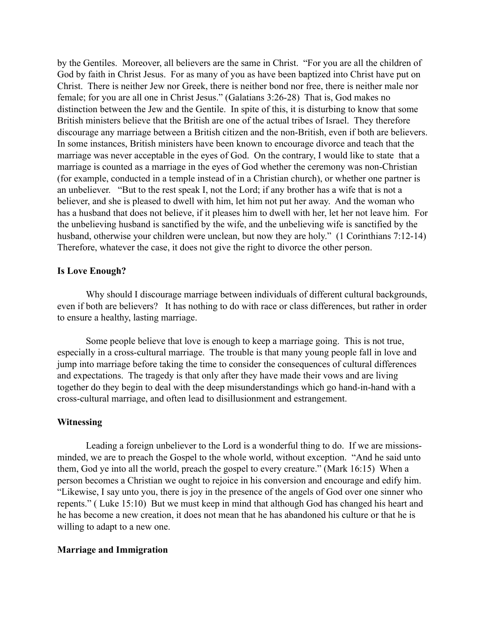by the Gentiles. Moreover, all believers are the same in Christ. "For you are all the children of God by faith in Christ Jesus. For as many of you as have been baptized into Christ have put on Christ. There is neither Jew nor Greek, there is neither bond nor free, there is neither male nor female; for you are all one in Christ Jesus." (Galatians 3:26-28) That is, God makes no distinction between the Jew and the Gentile. In spite of this, it is disturbing to know that some British ministers believe that the British are one of the actual tribes of Israel. They therefore discourage any marriage between a British citizen and the non-British, even if both are believers. In some instances, British ministers have been known to encourage divorce and teach that the marriage was never acceptable in the eyes of God. On the contrary, I would like to state that a marriage is counted as a marriage in the eyes of God whether the ceremony was non-Christian (for example, conducted in a temple instead of in a Christian church), or whether one partner is an unbeliever. "But to the rest speak I, not the Lord; if any brother has a wife that is not a believer, and she is pleased to dwell with him, let him not put her away. And the woman who has a husband that does not believe, if it pleases him to dwell with her, let her not leave him. For the unbelieving husband is sanctified by the wife, and the unbelieving wife is sanctified by the husband, otherwise your children were unclean, but now they are holy." (1 Corinthians 7:12-14) Therefore, whatever the case, it does not give the right to divorce the other person.

#### **Is Love Enough?**

Why should I discourage marriage between individuals of different cultural backgrounds, even if both are believers? It has nothing to do with race or class differences, but rather in order to ensure a healthy, lasting marriage.

Some people believe that love is enough to keep a marriage going. This is not true, especially in a cross-cultural marriage. The trouble is that many young people fall in love and jump into marriage before taking the time to consider the consequences of cultural differences and expectations. The tragedy is that only after they have made their vows and are living together do they begin to deal with the deep misunderstandings which go hand-in-hand with a cross-cultural marriage, and often lead to disillusionment and estrangement.

### **Witnessing**

Leading a foreign unbeliever to the Lord is a wonderful thing to do. If we are missionsminded, we are to preach the Gospel to the whole world, without exception. "And he said unto them, God ye into all the world, preach the gospel to every creature." (Mark 16:15) When a person becomes a Christian we ought to rejoice in his conversion and encourage and edify him. "Likewise, I say unto you, there is joy in the presence of the angels of God over one sinner who repents." ( Luke 15:10) But we must keep in mind that although God has changed his heart and he has become a new creation, it does not mean that he has abandoned his culture or that he is willing to adapt to a new one.

#### **Marriage and Immigration**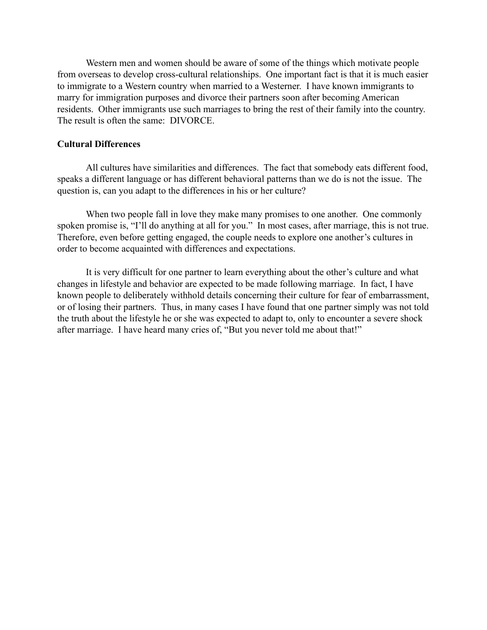Western men and women should be aware of some of the things which motivate people from overseas to develop cross-cultural relationships. One important fact is that it is much easier to immigrate to a Western country when married to a Westerner. I have known immigrants to marry for immigration purposes and divorce their partners soon after becoming American residents. Other immigrants use such marriages to bring the rest of their family into the country. The result is often the same: DIVORCE.

# **Cultural Differences**

All cultures have similarities and differences. The fact that somebody eats different food, speaks a different language or has different behavioral patterns than we do is not the issue. The question is, can you adapt to the differences in his or her culture?

When two people fall in love they make many promises to one another. One commonly spoken promise is, "I'll do anything at all for you." In most cases, after marriage, this is not true. Therefore, even before getting engaged, the couple needs to explore one another's cultures in order to become acquainted with differences and expectations.

It is very difficult for one partner to learn everything about the other's culture and what changes in lifestyle and behavior are expected to be made following marriage. In fact, I have known people to deliberately withhold details concerning their culture for fear of embarrassment, or of losing their partners. Thus, in many cases I have found that one partner simply was not told the truth about the lifestyle he or she was expected to adapt to, only to encounter a severe shock after marriage. I have heard many cries of, "But you never told me about that!"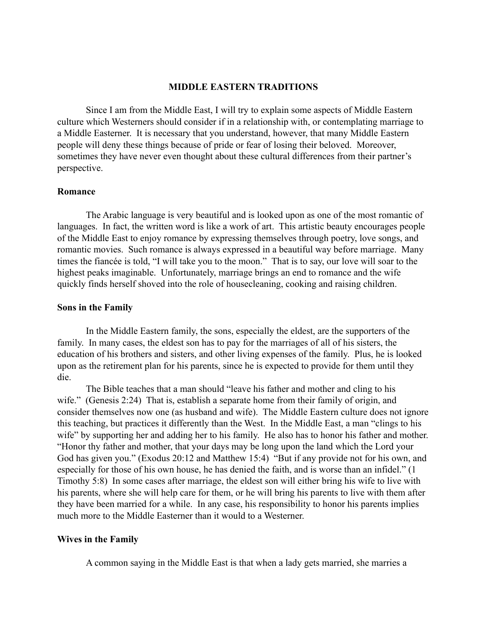#### **MIDDLE EASTERN TRADITIONS**

Since I am from the Middle East, I will try to explain some aspects of Middle Eastern culture which Westerners should consider if in a relationship with, or contemplating marriage to a Middle Easterner. It is necessary that you understand, however, that many Middle Eastern people will deny these things because of pride or fear of losing their beloved. Moreover, sometimes they have never even thought about these cultural differences from their partner's perspective.

#### **Romance**

The Arabic language is very beautiful and is looked upon as one of the most romantic of languages. In fact, the written word is like a work of art. This artistic beauty encourages people of the Middle East to enjoy romance by expressing themselves through poetry, love songs, and romantic movies. Such romance is always expressed in a beautiful way before marriage. Many times the fiancée is told, "I will take you to the moon." That is to say, our love will soar to the highest peaks imaginable. Unfortunately, marriage brings an end to romance and the wife quickly finds herself shoved into the role of housecleaning, cooking and raising children.

#### **Sons in the Family**

In the Middle Eastern family, the sons, especially the eldest, are the supporters of the family. In many cases, the eldest son has to pay for the marriages of all of his sisters, the education of his brothers and sisters, and other living expenses of the family. Plus, he is looked upon as the retirement plan for his parents, since he is expected to provide for them until they die.

The Bible teaches that a man should "leave his father and mother and cling to his wife." (Genesis 2:24) That is, establish a separate home from their family of origin, and consider themselves now one (as husband and wife). The Middle Eastern culture does not ignore this teaching, but practices it differently than the West. In the Middle East, a man "clings to his wife" by supporting her and adding her to his family. He also has to honor his father and mother. "Honor thy father and mother, that your days may be long upon the land which the Lord your God has given you." (Exodus 20:12 and Matthew 15:4) "But if any provide not for his own, and especially for those of his own house, he has denied the faith, and is worse than an infidel." (1 Timothy 5:8) In some cases after marriage, the eldest son will either bring his wife to live with his parents, where she will help care for them, or he will bring his parents to live with them after they have been married for a while. In any case, his responsibility to honor his parents implies much more to the Middle Easterner than it would to a Westerner.

#### **Wives in the Family**

A common saying in the Middle East is that when a lady gets married, she marries a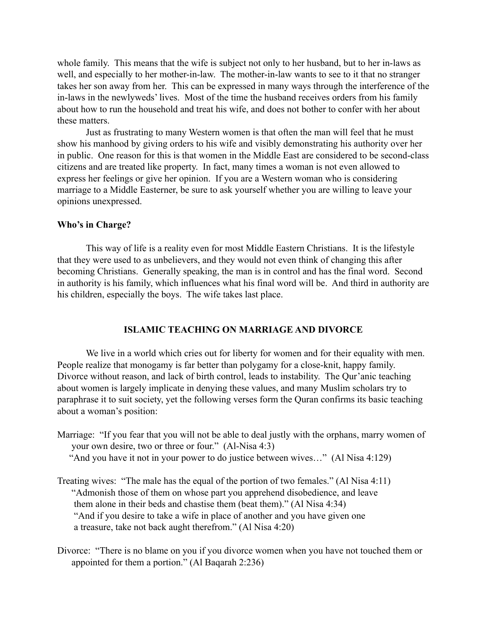whole family. This means that the wife is subject not only to her husband, but to her in-laws as well, and especially to her mother-in-law. The mother-in-law wants to see to it that no stranger takes her son away from her. This can be expressed in many ways through the interference of the in-laws in the newlyweds' lives. Most of the time the husband receives orders from his family about how to run the household and treat his wife, and does not bother to confer with her about these matters.

Just as frustrating to many Western women is that often the man will feel that he must show his manhood by giving orders to his wife and visibly demonstrating his authority over her in public. One reason for this is that women in the Middle East are considered to be second-class citizens and are treated like property. In fact, many times a woman is not even allowed to express her feelings or give her opinion. If you are a Western woman who is considering marriage to a Middle Easterner, be sure to ask yourself whether you are willing to leave your opinions unexpressed.

## **Who's in Charge?**

This way of life is a reality even for most Middle Eastern Christians. It is the lifestyle that they were used to as unbelievers, and they would not even think of changing this after becoming Christians. Generally speaking, the man is in control and has the final word. Second in authority is his family, which influences what his final word will be. And third in authority are his children, especially the boys. The wife takes last place.

# **ISLAMIC TEACHING ON MARRIAGE AND DIVORCE**

We live in a world which cries out for liberty for women and for their equality with men. People realize that monogamy is far better than polygamy for a close-knit, happy family. Divorce without reason, and lack of birth control, leads to instability. The Qur'anic teaching about women is largely implicate in denying these values, and many Muslim scholars try to paraphrase it to suit society, yet the following verses form the Quran confirms its basic teaching about a woman's position:

- Marriage: "If you fear that you will not be able to deal justly with the orphans, marry women of your own desire, two or three or four." (Al-Nisa 4:3)
	- "And you have it not in your power to do justice between wives…" (Al Nisa 4:129)
- Treating wives: "The male has the equal of the portion of two females." (Al Nisa 4:11) "Admonish those of them on whose part you apprehend disobedience, and leave them alone in their beds and chastise them (beat them)." (Al Nisa 4:34) "And if you desire to take a wife in place of another and you have given one a treasure, take not back aught therefrom." (Al Nisa 4:20)
- Divorce: "There is no blame on you if you divorce women when you have not touched them or appointed for them a portion." (Al Baqarah 2:236)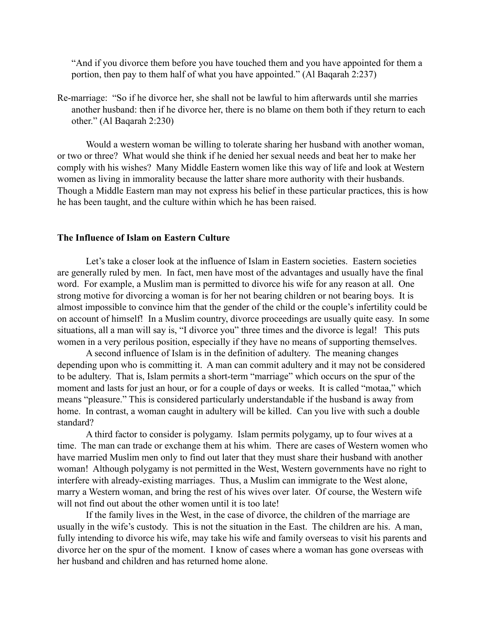"And if you divorce them before you have touched them and you have appointed for them a portion, then pay to them half of what you have appointed." (Al Baqarah 2:237)

Re-marriage: "So if he divorce her, she shall not be lawful to him afterwards until she marries another husband: then if he divorce her, there is no blame on them both if they return to each other." (Al Baqarah 2:230)

Would a western woman be willing to tolerate sharing her husband with another woman, or two or three? What would she think if he denied her sexual needs and beat her to make her comply with his wishes? Many Middle Eastern women like this way of life and look at Western women as living in immorality because the latter share more authority with their husbands. Though a Middle Eastern man may not express his belief in these particular practices, this is how he has been taught, and the culture within which he has been raised.

## **The Influence of Islam on Eastern Culture**

Let's take a closer look at the influence of Islam in Eastern societies. Eastern societies are generally ruled by men. In fact, men have most of the advantages and usually have the final word. For example, a Muslim man is permitted to divorce his wife for any reason at all. One strong motive for divorcing a woman is for her not bearing children or not bearing boys. It is almost impossible to convince him that the gender of the child or the couple's infertility could be on account of himself! In a Muslim country, divorce proceedings are usually quite easy. In some situations, all a man will say is, "I divorce you" three times and the divorce is legal! This puts women in a very perilous position, especially if they have no means of supporting themselves.

A second influence of Islam is in the definition of adultery. The meaning changes depending upon who is committing it. A man can commit adultery and it may not be considered to be adultery. That is, Islam permits a short-term "marriage" which occurs on the spur of the moment and lasts for just an hour, or for a couple of days or weeks. It is called "motaa," which means "pleasure." This is considered particularly understandable if the husband is away from home. In contrast, a woman caught in adultery will be killed. Can you live with such a double standard?

A third factor to consider is polygamy. Islam permits polygamy, up to four wives at a time. The man can trade or exchange them at his whim. There are cases of Western women who have married Muslim men only to find out later that they must share their husband with another woman! Although polygamy is not permitted in the West, Western governments have no right to interfere with already-existing marriages. Thus, a Muslim can immigrate to the West alone, marry a Western woman, and bring the rest of his wives over later. Of course, the Western wife will not find out about the other women until it is too late!

If the family lives in the West, in the case of divorce, the children of the marriage are usually in the wife's custody. This is not the situation in the East. The children are his. A man, fully intending to divorce his wife, may take his wife and family overseas to visit his parents and divorce her on the spur of the moment. I know of cases where a woman has gone overseas with her husband and children and has returned home alone.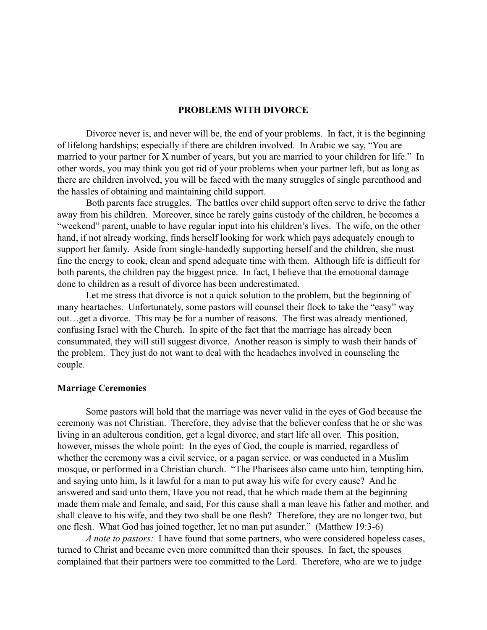## **PROBLEMS WITH DIVORCE**

Divorce never is, and never will be, the end of your problems. In fact, it is the beginning of lifelong hardships; especially if there are children involved. In Arabic we say, "You are married to your partner for X number of years, but you are married to your children for life." In other words, you may think you got rid of your problems when your partner left, but as long as there are children involved, you will be faced with the many struggles of single parenthood and the hassles of obtaining and maintaining child support.

Both parents face struggles. The battles over child support often serve to drive the father away from his children. Moreover, since he rarely gains custody of the children, he becomes a "weekend" parent, unable to have regular input into his children's lives. The wife, on the other hand, if not already working, finds herself looking for work which pays adequately enough to support her family. Aside from single-handedly supporting herself and the children, she must fine the energy to cook, clean and spend adequate time with them. Although life is difficult for both parents, the children pay the biggest price. In fact, I believe that the emotional damage done to children as a result of divorce has been underestimated.

Let me stress that divorce is not a quick solution to the problem, but the beginning of many heartaches. Unfortunately, some pastors will counsel their flock to take the "easy" way out…get a divorce. This may be for a number of reasons. The first was already mentioned, confusing Israel with the Church. In spite of the fact that the marriage has already been consummated, they will still suggest divorce. Another reason is simply to wash their hands of the problem. They just do not want to deal with the headaches involved in counseling the couple.

#### **Marriage Ceremonies**

Some pastors will hold that the marriage was never valid in the eyes of God because the ceremony was not Christian. Therefore, they advise that the believer confess that he or she was living in an adulterous condition, get a legal divorce, and start life all over. This position, however, misses the whole point: In the eyes of God, the couple is married, regardless of whether the ceremony was a civil service, or a pagan service, or was conducted in a Muslim mosque, or performed in a Christian church. "The Pharisees also came unto him, tempting him, and saying unto him, Is it lawful for a man to put away his wife for every cause? And he answered and said unto them, Have you not read, that he which made them at the beginning made them male and female, and said, For this cause shall a man leave his father and mother, and shall cleave to his wife, and they two shall be one flesh? Therefore, they are no longer two, but one flesh. What God has joined together, let no man put asunder." (Matthew 19:3-6)

*A note to pastors:* I have found that some partners, who were considered hopeless cases, turned to Christ and became even more committed than their spouses. In fact, the spouses complained that their partners were too committed to the Lord. Therefore, who are we to judge